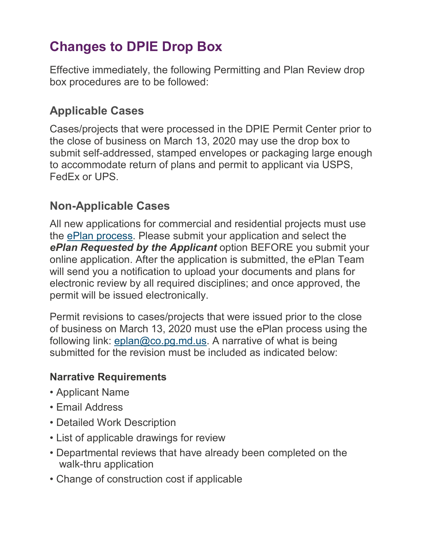# **Changes to DPIE Drop Box**

Effective immediately, the following Permitting and Plan Review drop box procedures are to be followed:

# **Applicable Cases**

Cases/projects that were processed in the DPIE Permit Center prior to the close of business on March 13, 2020 may use the drop box to submit self-addressed, stamped envelopes or packaging large enough to accommodate return of plans and permit to applicant via USPS, FedEx or UPS.

## **Non-Applicable Cases**

All new applications for commercial and residential projects must use the [ePlan process.](http://dpiepermits.princegeorgescountymd.gov/) Please submit your application and select the *ePlan Requested by the Applicant* option BEFORE you submit your online application. After the application is submitted, the ePlan Team will send you a notification to upload your documents and plans for electronic review by all required disciplines; and once approved, the permit will be issued electronically.

Permit revisions to cases/projects that were issued prior to the close of business on March 13, 2020 must use the ePlan process using the following link: [eplan@co.pg.md.us.](mailto:eplan@co.pg.md.us) A narrative of what is being submitted for the revision must be included as indicated below:

#### **Narrative Requirements**

- Applicant Name
- Email Address
- Detailed Work Description
- List of applicable drawings for review
- Departmental reviews that have already been completed on the walk-thru application
- Change of construction cost if applicable